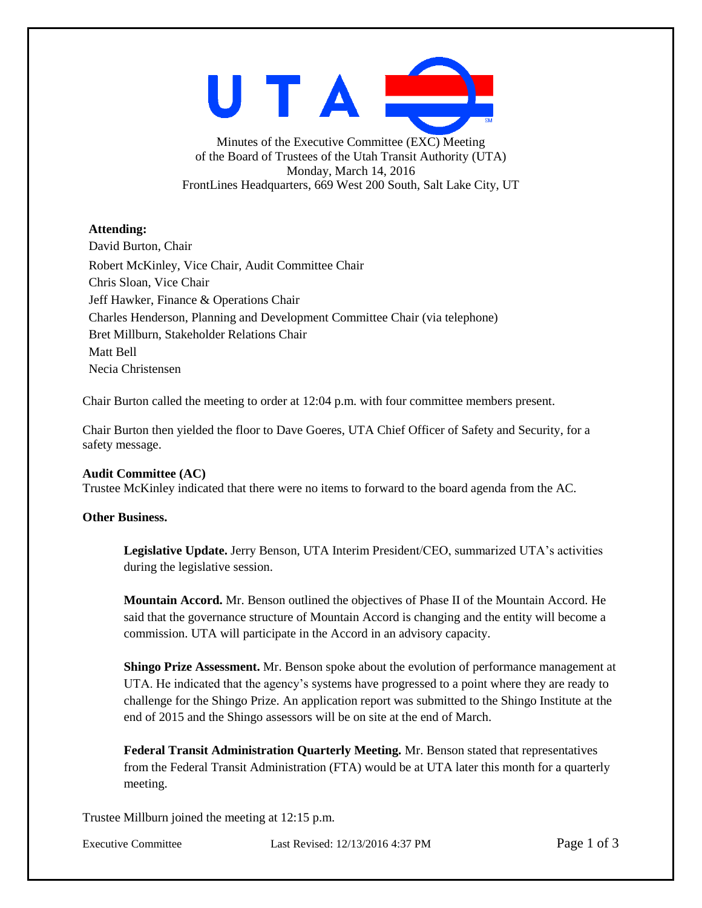

Minutes of the Executive Committee (EXC) Meeting of the Board of Trustees of the Utah Transit Authority (UTA) Monday, March 14, 2016 FrontLines Headquarters, 669 West 200 South, Salt Lake City, UT

# **Attending:**

David Burton, Chair Robert McKinley, Vice Chair, Audit Committee Chair Chris Sloan, Vice Chair Jeff Hawker, Finance & Operations Chair Charles Henderson, Planning and Development Committee Chair (via telephone) Bret Millburn, Stakeholder Relations Chair Matt Bell Necia Christensen

Chair Burton called the meeting to order at 12:04 p.m. with four committee members present.

Chair Burton then yielded the floor to Dave Goeres, UTA Chief Officer of Safety and Security, for a safety message.

## **Audit Committee (AC)**

Trustee McKinley indicated that there were no items to forward to the board agenda from the AC.

# **Other Business.**

**Legislative Update.** Jerry Benson, UTA Interim President/CEO, summarized UTA's activities during the legislative session.

**Mountain Accord.** Mr. Benson outlined the objectives of Phase II of the Mountain Accord. He said that the governance structure of Mountain Accord is changing and the entity will become a commission. UTA will participate in the Accord in an advisory capacity.

**Shingo Prize Assessment.** Mr. Benson spoke about the evolution of performance management at UTA. He indicated that the agency's systems have progressed to a point where they are ready to challenge for the Shingo Prize. An application report was submitted to the Shingo Institute at the end of 2015 and the Shingo assessors will be on site at the end of March.

**Federal Transit Administration Quarterly Meeting.** Mr. Benson stated that representatives from the Federal Transit Administration (FTA) would be at UTA later this month for a quarterly meeting.

Trustee Millburn joined the meeting at 12:15 p.m.

Executive Committee Last Revised: 12/13/2016 4:37 PM Page 1 of 3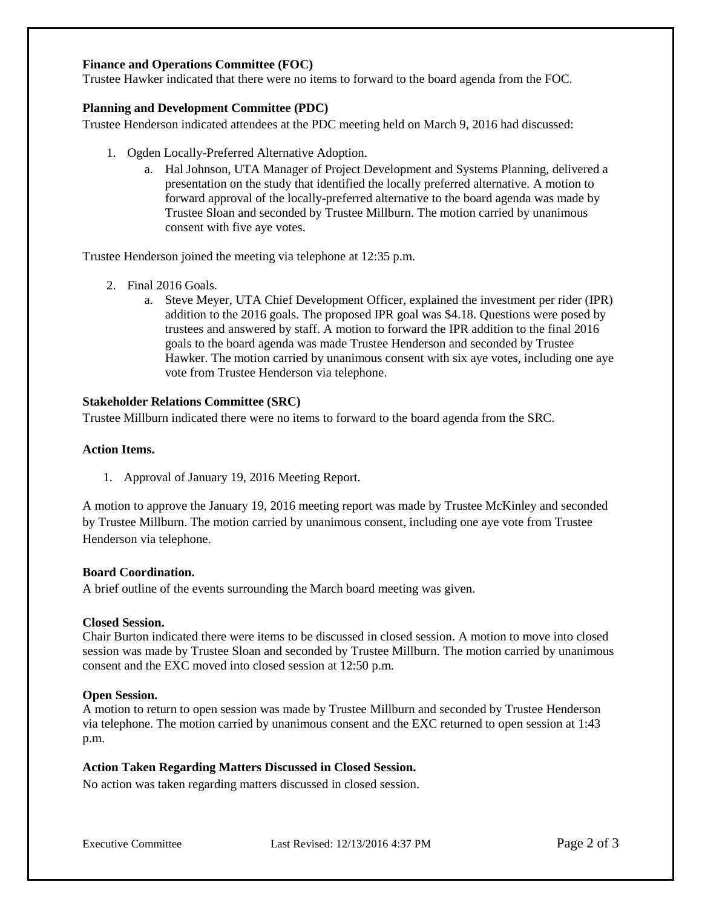## **Finance and Operations Committee (FOC)**

Trustee Hawker indicated that there were no items to forward to the board agenda from the FOC.

## **Planning and Development Committee (PDC)**

Trustee Henderson indicated attendees at the PDC meeting held on March 9, 2016 had discussed:

- 1. Ogden Locally-Preferred Alternative Adoption.
	- a. Hal Johnson, UTA Manager of Project Development and Systems Planning, delivered a presentation on the study that identified the locally preferred alternative. A motion to forward approval of the locally-preferred alternative to the board agenda was made by Trustee Sloan and seconded by Trustee Millburn. The motion carried by unanimous consent with five aye votes.

Trustee Henderson joined the meeting via telephone at 12:35 p.m.

- 2. Final 2016 Goals.
	- a. Steve Meyer, UTA Chief Development Officer, explained the investment per rider (IPR) addition to the 2016 goals. The proposed IPR goal was \$4.18. Questions were posed by trustees and answered by staff. A motion to forward the IPR addition to the final 2016 goals to the board agenda was made Trustee Henderson and seconded by Trustee Hawker. The motion carried by unanimous consent with six aye votes, including one aye vote from Trustee Henderson via telephone.

#### **Stakeholder Relations Committee (SRC)**

Trustee Millburn indicated there were no items to forward to the board agenda from the SRC.

## **Action Items.**

1. Approval of January 19, 2016 Meeting Report.

A motion to approve the January 19, 2016 meeting report was made by Trustee McKinley and seconded by Trustee Millburn. The motion carried by unanimous consent, including one aye vote from Trustee Henderson via telephone.

## **Board Coordination.**

A brief outline of the events surrounding the March board meeting was given.

#### **Closed Session.**

Chair Burton indicated there were items to be discussed in closed session. A motion to move into closed session was made by Trustee Sloan and seconded by Trustee Millburn. The motion carried by unanimous consent and the EXC moved into closed session at 12:50 p.m.

#### **Open Session.**

A motion to return to open session was made by Trustee Millburn and seconded by Trustee Henderson via telephone. The motion carried by unanimous consent and the EXC returned to open session at 1:43 p.m.

## **Action Taken Regarding Matters Discussed in Closed Session.**

No action was taken regarding matters discussed in closed session.